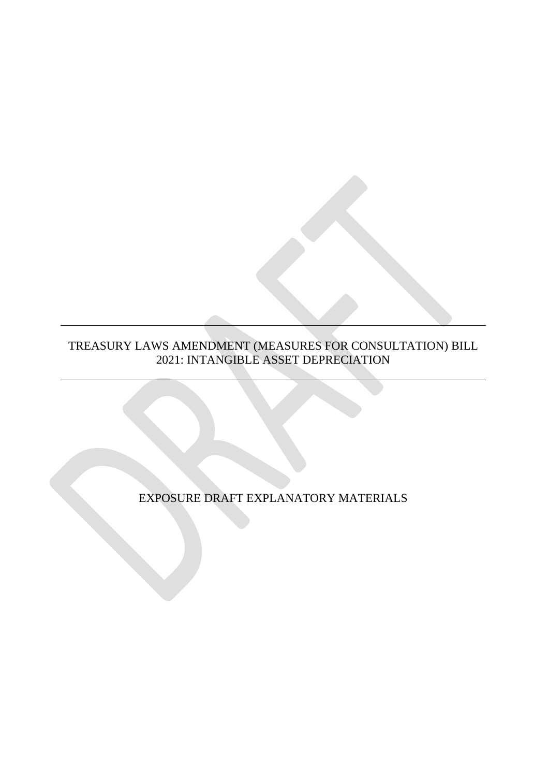#### TREASURY LAWS AMENDMENT (MEASURES FOR CONSULTATION) BILL 2021: INTANGIBLE ASSET DEPRECIATION

EXPOSURE DRAFT EXPLANATORY MATERIALS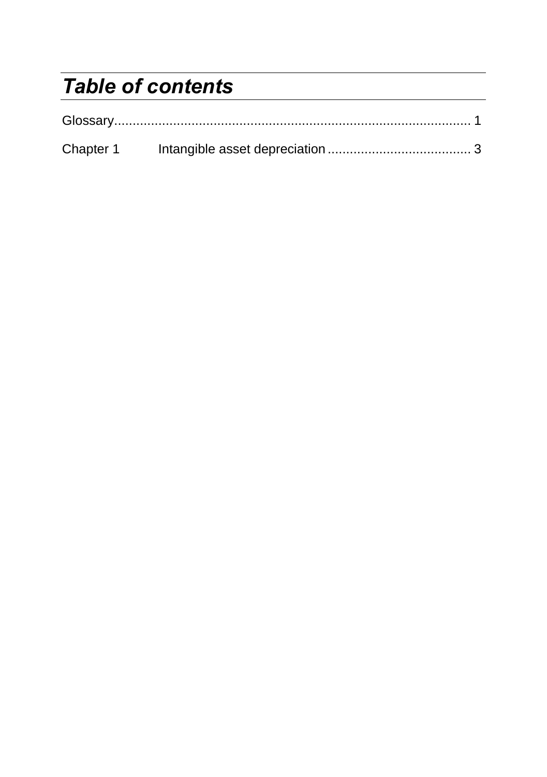# *Table of contents*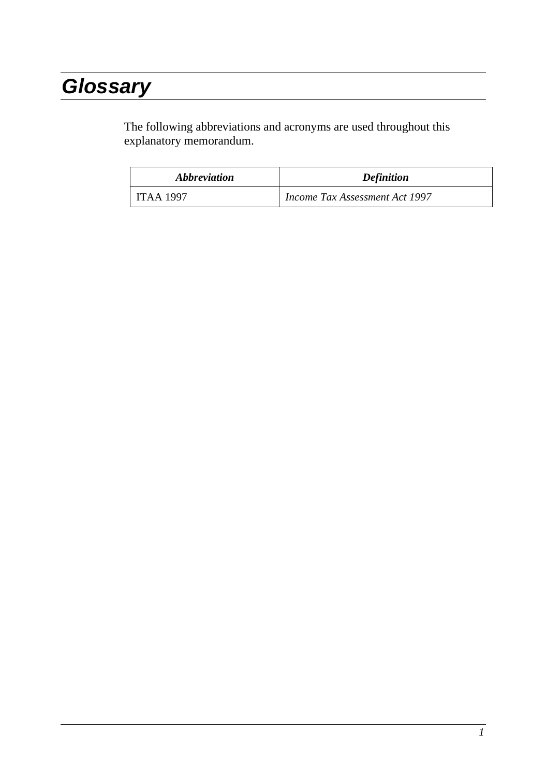# *Glossary*

The following abbreviations and acronyms are used throughout this explanatory memorandum.

| <i><b>Abbreviation</b></i> | <b>Definition</b>                     |
|----------------------------|---------------------------------------|
| ITAA 1997                  | <i>Income Tax Assessment Act 1997</i> |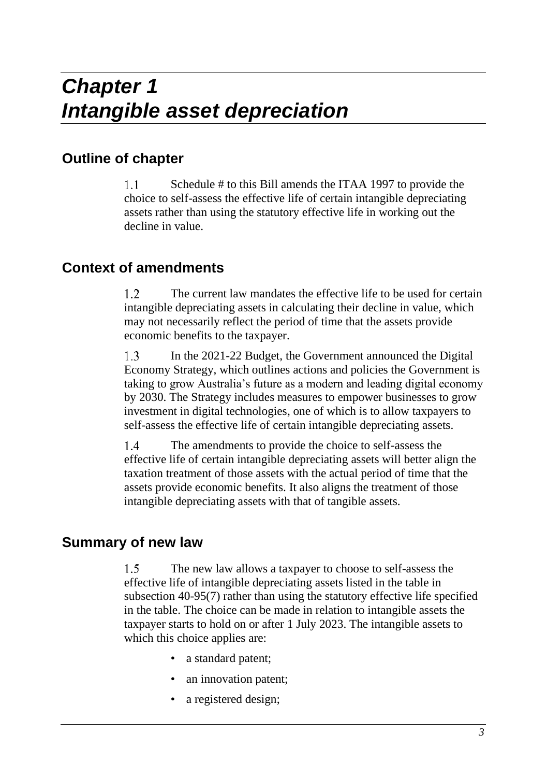## **Outline of chapter**

 $1.1$ Schedule # to this Bill amends the ITAA 1997 to provide the choice to self-assess the effective life of certain intangible depreciating assets rather than using the statutory effective life in working out the decline in value.

## **Context of amendments**

 $1.2$ The current law mandates the effective life to be used for certain intangible depreciating assets in calculating their decline in value, which may not necessarily reflect the period of time that the assets provide economic benefits to the taxpayer.

In the 2021-22 Budget, the Government announced the Digital  $1.3$ Economy Strategy, which outlines actions and policies the Government is taking to grow Australia's future as a modern and leading digital economy by 2030. The Strategy includes measures to empower businesses to grow investment in digital technologies, one of which is to allow taxpayers to self-assess the effective life of certain intangible depreciating assets.

The amendments to provide the choice to self-assess the  $1.4$ effective life of certain intangible depreciating assets will better align the taxation treatment of those assets with the actual period of time that the assets provide economic benefits. It also aligns the treatment of those intangible depreciating assets with that of tangible assets.

## **Summary of new law**

 $1.5$ The new law allows a taxpayer to choose to self-assess the effective life of intangible depreciating assets listed in the table in subsection 40-95(7) rather than using the statutory effective life specified in the table. The choice can be made in relation to intangible assets the taxpayer starts to hold on or after 1 July 2023. The intangible assets to which this choice applies are:

- a standard patent;
- an innovation patent;
- a registered design;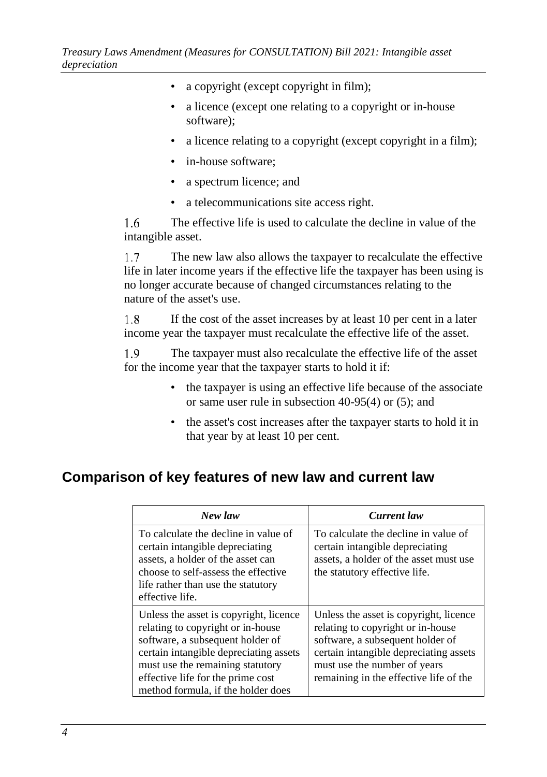- a copyright (except copyright in film);
- a licence (except one relating to a copyright or in-house software);
- a licence relating to a copyright (except copyright in a film);
- in-house software:
- a spectrum licence; and
- a telecommunications site access right.

1.6 The effective life is used to calculate the decline in value of the intangible asset.

 $1.7$ The new law also allows the taxpayer to recalculate the effective life in later income years if the effective life the taxpayer has been using is no longer accurate because of changed circumstances relating to the nature of the asset's use.

1.8 If the cost of the asset increases by at least 10 per cent in a later income year the taxpayer must recalculate the effective life of the asset.

1.9 The taxpayer must also recalculate the effective life of the asset for the income year that the taxpayer starts to hold it if:

- the taxpayer is using an effective life because of the associate or same user rule in subsection 40-95(4) or (5); and
- the asset's cost increases after the taxpayer starts to hold it in that year by at least 10 per cent.

## **Comparison of key features of new law and current law**

| New law                                                                                                                                                                                                                                                                  | Current law                                                                                                                                                                                                                         |
|--------------------------------------------------------------------------------------------------------------------------------------------------------------------------------------------------------------------------------------------------------------------------|-------------------------------------------------------------------------------------------------------------------------------------------------------------------------------------------------------------------------------------|
| To calculate the decline in value of<br>certain intangible depreciating<br>assets, a holder of the asset can<br>choose to self-assess the effective<br>life rather than use the statutory<br>effective life.                                                             | To calculate the decline in value of<br>certain intangible depreciating<br>assets, a holder of the asset must use<br>the statutory effective life.                                                                                  |
| Unless the asset is copyright, licence<br>relating to copyright or in-house<br>software, a subsequent holder of<br>certain intangible depreciating assets<br>must use the remaining statutory<br>effective life for the prime cost<br>method formula, if the holder does | Unless the asset is copyright, licence<br>relating to copyright or in-house<br>software, a subsequent holder of<br>certain intangible depreciating assets<br>must use the number of years<br>remaining in the effective life of the |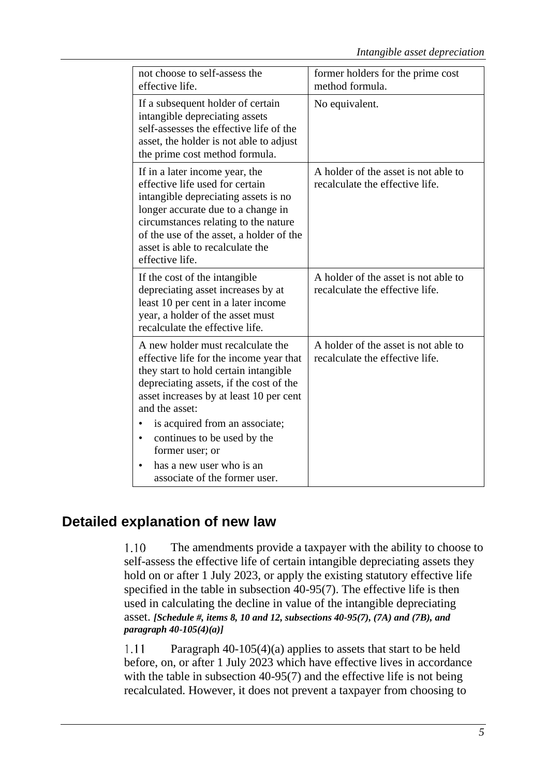| not choose to self-assess the<br>effective life.                                                                                                                                                                                                                                                                                                                                            | former holders for the prime cost<br>method formula.                    |
|---------------------------------------------------------------------------------------------------------------------------------------------------------------------------------------------------------------------------------------------------------------------------------------------------------------------------------------------------------------------------------------------|-------------------------------------------------------------------------|
| If a subsequent holder of certain<br>intangible depreciating assets<br>self-assesses the effective life of the<br>asset, the holder is not able to adjust<br>the prime cost method formula.                                                                                                                                                                                                 | No equivalent.                                                          |
| If in a later income year, the<br>effective life used for certain<br>intangible depreciating assets is no<br>longer accurate due to a change in<br>circumstances relating to the nature<br>of the use of the asset, a holder of the<br>asset is able to recalculate the<br>effective life.                                                                                                  | A holder of the asset is not able to<br>recalculate the effective life. |
| If the cost of the intangible<br>depreciating asset increases by at<br>least 10 per cent in a later income<br>year, a holder of the asset must<br>recalculate the effective life.                                                                                                                                                                                                           | A holder of the asset is not able to<br>recalculate the effective life. |
| A new holder must recalculate the<br>effective life for the income year that<br>they start to hold certain intangible<br>depreciating assets, if the cost of the<br>asset increases by at least 10 per cent<br>and the asset:<br>is acquired from an associate;<br>continues to be used by the<br>$\bullet$<br>former user; or<br>has a new user who is an<br>associate of the former user. | A holder of the asset is not able to<br>recalculate the effective life. |

## **Detailed explanation of new law**

 $1.10$ The amendments provide a taxpayer with the ability to choose to self-assess the effective life of certain intangible depreciating assets they hold on or after 1 July 2023, or apply the existing statutory effective life specified in the table in subsection 40-95(7). The effective life is then used in calculating the decline in value of the intangible depreciating asset. *[Schedule #, items 8, 10 and 12, subsections 40-95(7), (7A) and (7B), and paragraph 40-105(4)(a)]*

1.11 Paragraph 40-105(4)(a) applies to assets that start to be held before, on, or after 1 July 2023 which have effective lives in accordance with the table in subsection 40-95(7) and the effective life is not being recalculated. However, it does not prevent a taxpayer from choosing to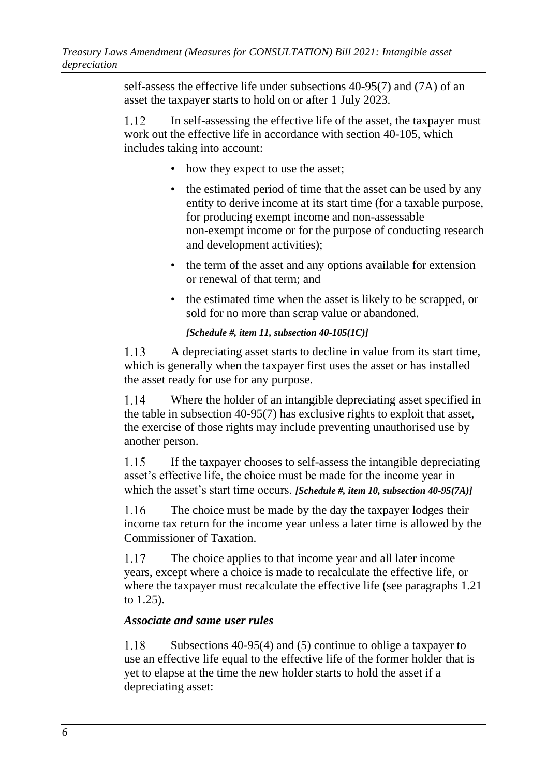self-assess the effective life under subsections 40-95(7) and (7A) of an asset the taxpayer starts to hold on or after 1 July 2023.

<span id="page-9-0"></span>1.12 In self-assessing the effective life of the asset, the taxpayer must work out the effective life in accordance with section 40-105, which includes taking into account:

- how they expect to use the asset;
- the estimated period of time that the asset can be used by any entity to derive income at its start time (for a taxable purpose, for producing exempt income and non-assessable non-exempt income or for the purpose of conducting research and development activities);
- the term of the asset and any options available for extension or renewal of that term; and
- the estimated time when the asset is likely to be scrapped, or sold for no more than scrap value or abandoned.

#### *[Schedule #, item 11, subsection 40-105(1C)]*

 $1.13$ A depreciating asset starts to decline in value from its start time, which is generally when the taxpayer first uses the asset or has installed the asset ready for use for any purpose.

1.14 Where the holder of an intangible depreciating asset specified in the table in subsection 40-95(7) has exclusive rights to exploit that asset, the exercise of those rights may include preventing unauthorised use by another person.

 $1.15$ If the taxpayer chooses to self-assess the intangible depreciating asset's effective life, the choice must be made for the income year in which the asset's start time occurs. *[Schedule #, item 10, subsection 40-95(7A)]*

The choice must be made by the day the taxpayer lodges their  $1.16$ income tax return for the income year unless a later time is allowed by the Commissioner of Taxation.

1.17 The choice applies to that income year and all later income years, except where a choice is made to recalculate the effective life, or where the taxpayer must recalculate the effective life (see paragraph[s 1.21](#page-10-0) to [1.25\)](#page-11-0).

### *Associate and same user rules*

1.18 Subsections 40-95(4) and (5) continue to oblige a taxpayer to use an effective life equal to the effective life of the former holder that is yet to elapse at the time the new holder starts to hold the asset if a depreciating asset: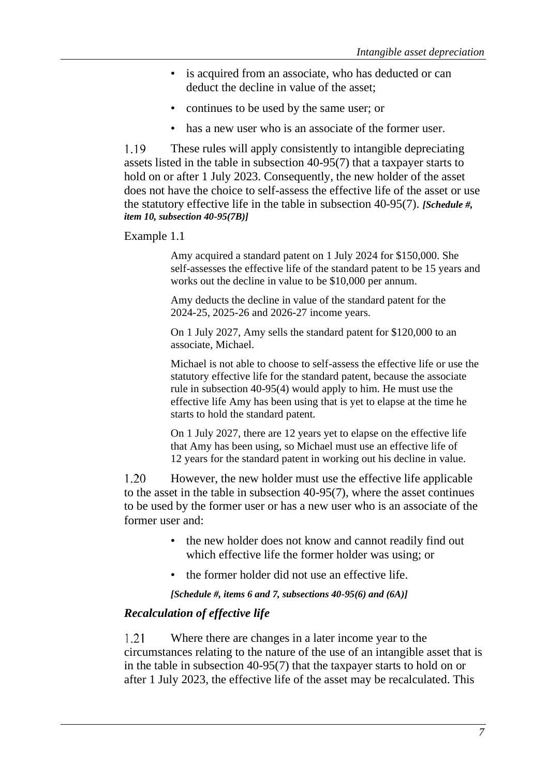- is acquired from an associate, who has deducted or can deduct the decline in value of the asset;
- continues to be used by the same user; or
- has a new user who is an associate of the former user.

1.19 These rules will apply consistently to intangible depreciating assets listed in the table in subsection 40-95(7) that a taxpayer starts to hold on or after 1 July 2023. Consequently, the new holder of the asset does not have the choice to self-assess the effective life of the asset or use the statutory effective life in the table in subsection 40-95(7). *[Schedule #, item 10, subsection 40-95(7B)]*

Example 1.1

Amy acquired a standard patent on 1 July 2024 for \$150,000. She self-assesses the effective life of the standard patent to be 15 years and works out the decline in value to be \$10,000 per annum.

Amy deducts the decline in value of the standard patent for the 2024-25, 2025-26 and 2026-27 income years.

On 1 July 2027, Amy sells the standard patent for \$120,000 to an associate, Michael.

Michael is not able to choose to self-assess the effective life or use the statutory effective life for the standard patent, because the associate rule in subsection 40-95(4) would apply to him. He must use the effective life Amy has been using that is yet to elapse at the time he starts to hold the standard patent.

On 1 July 2027, there are 12 years yet to elapse on the effective life that Amy has been using, so Michael must use an effective life of 12 years for the standard patent in working out his decline in value.

 $1.20$ However, the new holder must use the effective life applicable to the asset in the table in subsection 40-95(7), where the asset continues to be used by the former user or has a new user who is an associate of the former user and:

- the new holder does not know and cannot readily find out which effective life the former holder was using; or
- the former holder did not use an effective life.

*[Schedule #, items 6 and 7, subsections 40-95(6) and (6A)]*

#### *Recalculation of effective life*

<span id="page-10-0"></span>1.21 Where there are changes in a later income year to the circumstances relating to the nature of the use of an intangible asset that is in the table in subsection 40-95(7) that the taxpayer starts to hold on or after 1 July 2023, the effective life of the asset may be recalculated. This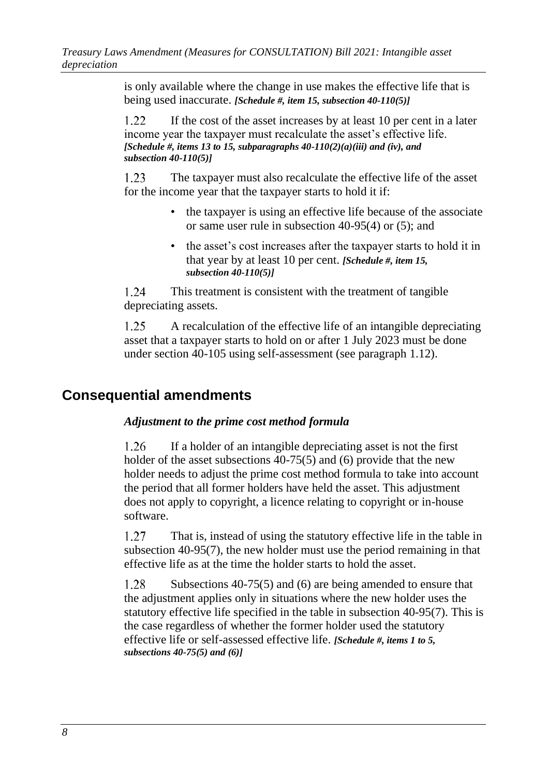is only available where the change in use makes the effective life that is being used inaccurate. *[Schedule #, item 15, subsection 40-110(5)]*

1.22 If the cost of the asset increases by at least 10 per cent in a later income year the taxpayer must recalculate the asset's effective life. *[Schedule #, items 13 to 15, subparagraphs 40-110(2)(a)(iii) and (iv), and subsection 40-110(5)]*

1.23 The taxpayer must also recalculate the effective life of the asset for the income year that the taxpayer starts to hold it if:

- the taxpayer is using an effective life because of the associate or same user rule in subsection 40-95(4) or (5); and
- the asset's cost increases after the taxpayer starts to hold it in that year by at least 10 per cent. *[Schedule #, item 15, subsection 40-110(5)]*

1.24 This treatment is consistent with the treatment of tangible depreciating assets.

<span id="page-11-0"></span> $1.25$ A recalculation of the effective life of an intangible depreciating asset that a taxpayer starts to hold on or after 1 July 2023 must be done under section 40-105 using self-assessment (see paragraph [1.12\)](#page-9-0).

## **Consequential amendments**

### *Adjustment to the prime cost method formula*

 $1.26$ If a holder of an intangible depreciating asset is not the first holder of the asset subsections 40-75(5) and (6) provide that the new holder needs to adjust the prime cost method formula to take into account the period that all former holders have held the asset. This adjustment does not apply to copyright, a licence relating to copyright or in-house software.

1.27 That is, instead of using the statutory effective life in the table in subsection 40-95(7), the new holder must use the period remaining in that effective life as at the time the holder starts to hold the asset.

1.28 Subsections 40-75(5) and (6) are being amended to ensure that the adjustment applies only in situations where the new holder uses the statutory effective life specified in the table in subsection 40-95(7). This is the case regardless of whether the former holder used the statutory effective life or self-assessed effective life. *[Schedule #, items 1 to 5, subsections 40-75(5) and (6)]*